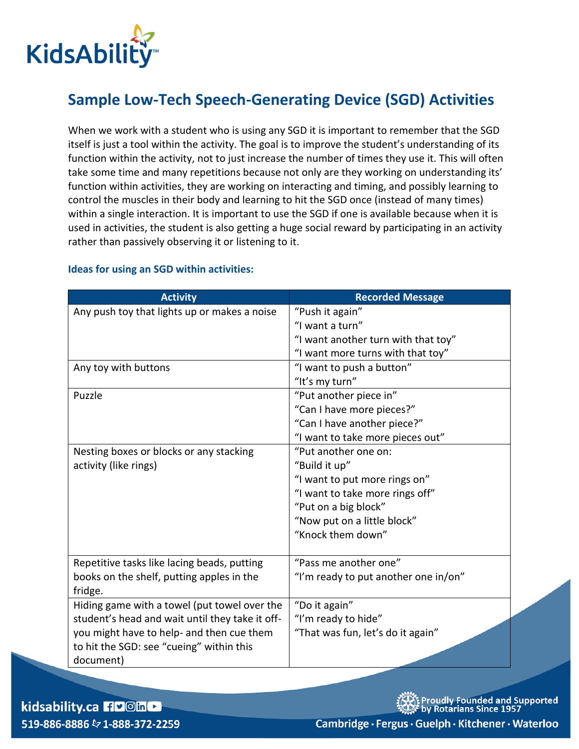

## **Sample Low-Tech Speech-Generating Device (SGD) Activities**

When we work with a student who is using any SGD it is important to remember that the SGD itself is just a tool within the activity. The goal is to improve the student's understanding of its function within the activity, not to just increase the number of times they use it. This will often take some time and many repetitions because not only are they working on understanding its' function within activities, they are working on interacting and timing, and possibly learning to control the muscles in their body and learning to hit the SGD once (instead of many times) within a single interaction. It is important to use the SGD if one is available because when it is used in activities, the student is also getting a huge social reward by participating in an activity rather than passively observing it or listening to it.

| <b>Activity</b>                                 | <b>Recorded Message</b>              |
|-------------------------------------------------|--------------------------------------|
| Any push toy that lights up or makes a noise    | "Push it again"                      |
|                                                 | "I want a turn"                      |
|                                                 | "I want another turn with that toy"  |
|                                                 | "I want more turns with that toy"    |
| Any toy with buttons                            | "I want to push a button"            |
|                                                 | "It's my turn"                       |
| Puzzle                                          | "Put another piece in"               |
|                                                 | "Can I have more pieces?"            |
|                                                 | "Can I have another piece?"          |
|                                                 | "I want to take more pieces out"     |
| Nesting boxes or blocks or any stacking         | "Put another one on:                 |
| activity (like rings)                           | "Build it up"                        |
|                                                 | "I want to put more rings on"        |
|                                                 | "I want to take more rings off"      |
|                                                 | "Put on a big block"                 |
|                                                 | "Now put on a little block"          |
|                                                 | "Knock them down"                    |
|                                                 |                                      |
| Repetitive tasks like lacing beads, putting     | "Pass me another one"                |
| books on the shelf, putting apples in the       | "I'm ready to put another one in/on" |
| fridge.                                         |                                      |
| Hiding game with a towel (put towel over the    | "Do it again"                        |
| student's head and wait until they take it off- | "I'm ready to hide"                  |
| you might have to help- and then cue them       | "That was fun, let's do it again"    |
| to hit the SGD: see "cueing" within this        |                                      |
| document)                                       |                                      |

## **Ideas for using an SGD within activities:**

kidsability.ca 190mL 519-886-8886 & 1-888-372-2259 roudly Founded and Supported<br>y Rotarians Since 1957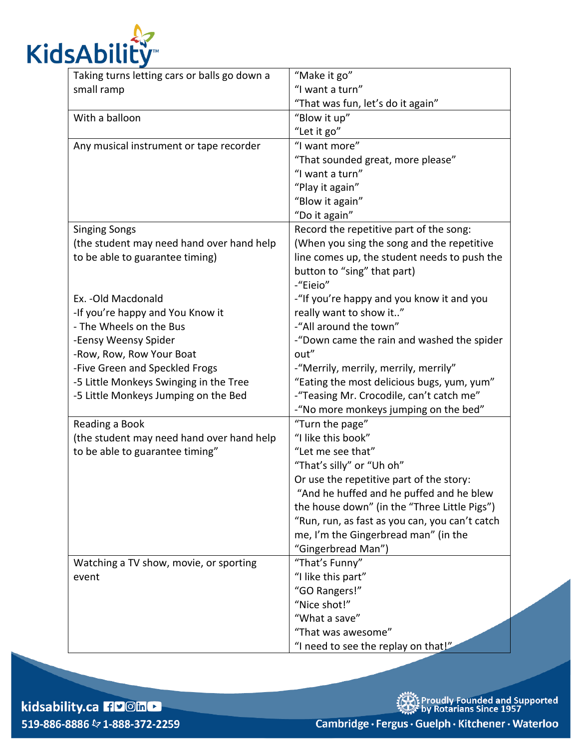

| Taking turns letting cars or balls go down a | "Make it go"                                   |
|----------------------------------------------|------------------------------------------------|
| small ramp                                   | "I want a turn"                                |
|                                              | "That was fun, let's do it again"              |
| With a balloon                               | "Blow it up"                                   |
|                                              | "Let it go"                                    |
| Any musical instrument or tape recorder      | "I want more"                                  |
|                                              | "That sounded great, more please"              |
|                                              | "I want a turn"                                |
|                                              | "Play it again"                                |
|                                              | "Blow it again"                                |
|                                              | "Do it again"                                  |
| <b>Singing Songs</b>                         | Record the repetitive part of the song:        |
| (the student may need hand over hand help    | (When you sing the song and the repetitive     |
| to be able to guarantee timing)              | line comes up, the student needs to push the   |
|                                              | button to "sing" that part)                    |
|                                              | -"Eieio"                                       |
| Ex. - Old Macdonald                          | -"If you're happy and you know it and you      |
| -If you're happy and You Know it             | really want to show it"                        |
| - The Wheels on the Bus                      | -"All around the town"                         |
| -Eensy Weensy Spider                         | -"Down came the rain and washed the spider     |
| -Row, Row, Row Your Boat                     | out"                                           |
| -Five Green and Speckled Frogs               | -"Merrily, merrily, merrily, merrily"          |
| -5 Little Monkeys Swinging in the Tree       | "Eating the most delicious bugs, yum, yum"     |
| -5 Little Monkeys Jumping on the Bed         | -"Teasing Mr. Crocodile, can't catch me"       |
|                                              | -"No more monkeys jumping on the bed"          |
| Reading a Book                               | "Turn the page"                                |
| (the student may need hand over hand help    | "I like this book"                             |
| to be able to guarantee timing"              | "Let me see that"                              |
|                                              | "That's silly" or "Uh oh"                      |
|                                              | Or use the repetitive part of the story:       |
|                                              | "And he huffed and he puffed and he blew       |
|                                              | the house down" (in the "Three Little Pigs")   |
|                                              | "Run, run, as fast as you can, you can't catch |
|                                              | me, I'm the Gingerbread man" (in the           |
|                                              | "Gingerbread Man")                             |
| Watching a TV show, movie, or sporting       | "That's Funny"                                 |
| event                                        | "I like this part"                             |
|                                              | "GO Rangers!"                                  |
|                                              | "Nice shot!"                                   |
|                                              | "What a save"                                  |
|                                              | "That was awesome"                             |
|                                              | "I need to see the replay on that!"            |

kidsability.ca FlyOin 519-886-8886 & 1-888-372-2259 、<br>大人とProudly Founded and Supported<br>公共さり Rotarians Since 1957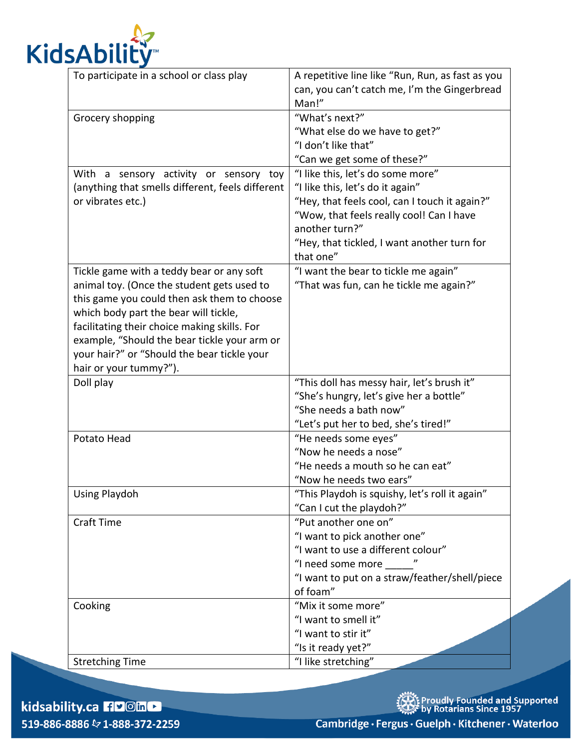

| To participate in a school or class play         | A repetitive line like "Run, Run, as fast as you |
|--------------------------------------------------|--------------------------------------------------|
|                                                  | can, you can't catch me, I'm the Gingerbread     |
|                                                  | Man!"                                            |
| Grocery shopping                                 | "What's next?"                                   |
|                                                  | "What else do we have to get?"                   |
|                                                  | "I don't like that"                              |
|                                                  | "Can we get some of these?"                      |
| With a sensory activity or sensory toy           | "I like this, let's do some more"                |
| (anything that smells different, feels different | "I like this, let's do it again"                 |
| or vibrates etc.)                                | "Hey, that feels cool, can I touch it again?"    |
|                                                  | "Wow, that feels really cool! Can I have         |
|                                                  | another turn?"                                   |
|                                                  | "Hey, that tickled, I want another turn for      |
|                                                  | that one"                                        |
| Tickle game with a teddy bear or any soft        | "I want the bear to tickle me again"             |
| animal toy. (Once the student gets used to       | "That was fun, can he tickle me again?"          |
| this game you could then ask them to choose      |                                                  |
| which body part the bear will tickle,            |                                                  |
| facilitating their choice making skills. For     |                                                  |
| example, "Should the bear tickle your arm or     |                                                  |
| your hair?" or "Should the bear tickle your      |                                                  |
| hair or your tummy?").                           |                                                  |
| Doll play                                        | "This doll has messy hair, let's brush it"       |
|                                                  | "She's hungry, let's give her a bottle"          |
|                                                  | "She needs a bath now"                           |
|                                                  | "Let's put her to bed, she's tired!"             |
| Potato Head                                      | "He needs some eyes"                             |
|                                                  | "Now he needs a nose"                            |
|                                                  | "He needs a mouth so he can eat"                 |
|                                                  | "Now he needs two ears"                          |
| <b>Using Playdoh</b>                             | "This Playdoh is squishy, let's roll it again"   |
|                                                  | "Can I cut the playdoh?"                         |
| <b>Craft Time</b>                                | "Put another one on"                             |
|                                                  | "I want to pick another one"                     |
|                                                  | "I want to use a different colour"               |
|                                                  | "I need some more                                |
|                                                  | "I want to put on a straw/feather/shell/piece    |
|                                                  | of foam"                                         |
| Cooking                                          | "Mix it some more"                               |
|                                                  | "I want to smell it"                             |
|                                                  | "I want to stir it"                              |
|                                                  | "Is it ready yet?"                               |
| <b>Stretching Time</b>                           | "I like stretching"                              |

kidsability.ca FlyOin 519-886-8886 & 1-888-372-2259 **养生**<br>《文:Proudly Founded and Supported<br>《文 by Rotarians Since 1957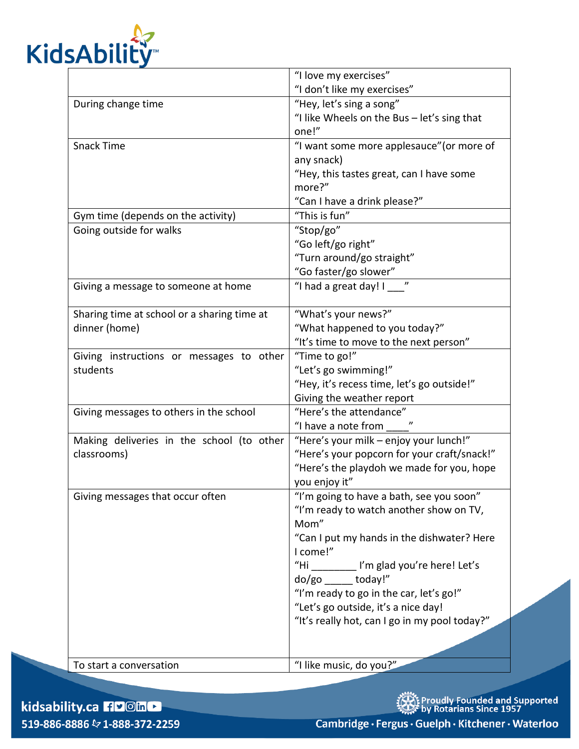

|                                             | "I love my exercises"                         |
|---------------------------------------------|-----------------------------------------------|
|                                             | "I don't like my exercises"                   |
| During change time                          | "Hey, let's sing a song"                      |
|                                             | "I like Wheels on the Bus - let's sing that   |
|                                             | one!"                                         |
| <b>Snack Time</b>                           | "I want some more applesauce" (or more of     |
|                                             | any snack)                                    |
|                                             | "Hey, this tastes great, can I have some      |
|                                             | more?"                                        |
|                                             | "Can I have a drink please?"                  |
| Gym time (depends on the activity)          | "This is fun"                                 |
| Going outside for walks                     | "Stop/go"                                     |
|                                             | "Go left/go right"                            |
|                                             | "Turn around/go straight"                     |
|                                             | "Go faster/go slower"                         |
| Giving a message to someone at home         | "I had a great day! I ___ "                   |
|                                             |                                               |
| Sharing time at school or a sharing time at | "What's your news?"                           |
| dinner (home)                               | "What happened to you today?"                 |
|                                             | "It's time to move to the next person"        |
| Giving instructions or messages to other    | "Time to go!"                                 |
| students                                    | "Let's go swimming!"                          |
|                                             | "Hey, it's recess time, let's go outside!"    |
|                                             | Giving the weather report                     |
| Giving messages to others in the school     | "Here's the attendance"                       |
|                                             | "I have a note from                           |
| Making deliveries in the school (to other   | "Here's your milk - enjoy your lunch!"        |
| classrooms)                                 | "Here's your popcorn for your craft/snack!"   |
|                                             | "Here's the playdoh we made for you, hope     |
|                                             | you enjoy it"                                 |
| Giving messages that occur often            | "I'm going to have a bath, see you soon"      |
|                                             | "I'm ready to watch another show on TV,       |
|                                             | Mom"                                          |
|                                             | "Can I put my hands in the dishwater? Here    |
|                                             | I come!"                                      |
|                                             | "Hi<br>I'm glad you're here! Let's            |
|                                             | do/go today!"                                 |
|                                             | "I'm ready to go in the car, let's go!"       |
|                                             | "Let's go outside, it's a nice day!           |
|                                             | "It's really hot, can I go in my pool today?" |
|                                             |                                               |
| To start a conversation                     | "I like music, do you?"                       |

kidsability.ca FlyOin 519-886-8886 & 1-888-372-2259 、<br>イントProudly Founded and Supported<br>な具体 by Rotarians Since 1957